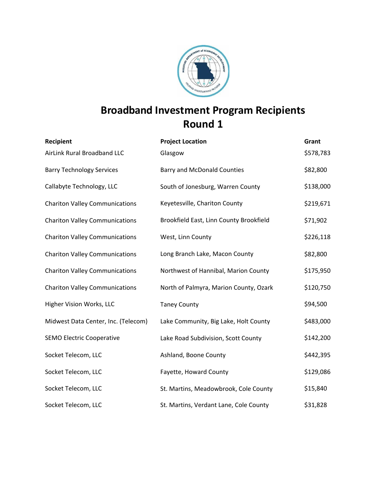

# **Broadband Investment Program Recipients Round 1**

| Recipient                             | <b>Project Location</b>                 | Grant     |
|---------------------------------------|-----------------------------------------|-----------|
| AirLink Rural Broadband LLC           | Glasgow                                 | \$578,783 |
| <b>Barry Technology Services</b>      | <b>Barry and McDonald Counties</b>      | \$82,800  |
| Callabyte Technology, LLC             | South of Jonesburg, Warren County       | \$138,000 |
| <b>Chariton Valley Communications</b> | Keyetesville, Chariton County           | \$219,671 |
| <b>Chariton Valley Communications</b> | Brookfield East, Linn County Brookfield | \$71,902  |
| <b>Chariton Valley Communications</b> | West, Linn County                       | \$226,118 |
| <b>Chariton Valley Communications</b> | Long Branch Lake, Macon County          | \$82,800  |
| <b>Chariton Valley Communications</b> | Northwest of Hannibal, Marion County    | \$175,950 |
| <b>Chariton Valley Communications</b> | North of Palmyra, Marion County, Ozark  | \$120,750 |
| Higher Vision Works, LLC              | <b>Taney County</b>                     | \$94,500  |
| Midwest Data Center, Inc. (Telecom)   | Lake Community, Big Lake, Holt County   | \$483,000 |
| <b>SEMO Electric Cooperative</b>      | Lake Road Subdivision, Scott County     | \$142,200 |
| Socket Telecom, LLC                   | Ashland, Boone County                   | \$442,395 |
| Socket Telecom, LLC                   | Fayette, Howard County                  | \$129,086 |
| Socket Telecom, LLC                   | St. Martins, Meadowbrook, Cole County   | \$15,840  |
| Socket Telecom, LLC                   | St. Martins, Verdant Lane, Cole County  | \$31,828  |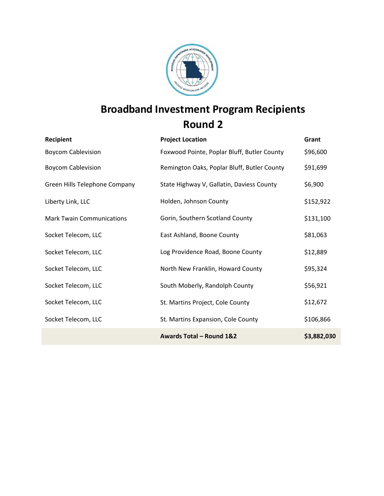

# **Broadband Investment Program Recipients Round 2**

| Recipient                        | <b>Project Location</b>                     | Grant       |
|----------------------------------|---------------------------------------------|-------------|
| <b>Boycom Cablevision</b>        | Foxwood Pointe, Poplar Bluff, Butler County | \$96,600    |
| <b>Boycom Cablevision</b>        | Remington Oaks, Poplar Bluff, Butler County | \$91,699    |
| Green Hills Telephone Company    | State Highway V, Gallatin, Daviess County   | \$6,900     |
| Liberty Link, LLC                | Holden, Johnson County                      | \$152,922   |
| <b>Mark Twain Communications</b> | Gorin, Southern Scotland County             | \$131,100   |
| Socket Telecom, LLC              | East Ashland, Boone County                  | \$81,063    |
| Socket Telecom, LLC              | Log Providence Road, Boone County           | \$12,889    |
| Socket Telecom, LLC              | North New Franklin, Howard County           | \$95,324    |
| Socket Telecom, LLC              | South Moberly, Randolph County              | \$56,921    |
| Socket Telecom, LLC              | St. Martins Project, Cole County            | \$12,672    |
| Socket Telecom, LLC              | St. Martins Expansion, Cole County          | \$106,866   |
|                                  | Awards Total - Round 1&2                    | \$3,882,030 |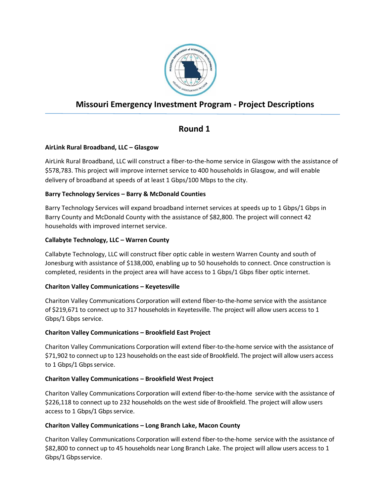

# **Missouri Emergency Investment Program - Project Descriptions**

# **Round 1**

# **AirLink Rural Broadband, LLC – Glasgow**

AirLink Rural Broadband, LLC will construct a fiber-to-the-home service in Glasgow with the assistance of \$578,783. This project will improve internet service to 400 households in Glasgow, and will enable delivery of broadband at speeds of at least 1 Gbps/100 Mbps to the city.

# **Barry Technology Services – Barry & McDonald Counties**

Barry Technology Services will expand broadband internet services at speeds up to 1 Gbps/1 Gbps in Barry County and McDonald County with the assistance of \$82,800. The project will connect 42 households with improved internet service.

## **Callabyte Technology, LLC – Warren County**

Callabyte Technology, LLC will construct fiber optic cable in western Warren County and south of Jonesburg with assistance of \$138,000, enabling up to 50 households to connect. Once construction is completed, residents in the project area will have access to 1 Gbps/1 Gbps fiber optic internet.

# **Chariton Valley Communications – Keyetesville**

Chariton Valley Communications Corporation will extend fiber-to-the-home service with the assistance of \$219,671 to connect up to 317 households in Keyetesville. The project will allow users access to 1 Gbps/1 Gbps service.

# **Chariton Valley Communications – Brookfield East Project**

Chariton Valley Communications Corporation will extend fiber-to-the-home service with the assistance of \$71,902 to connect up to 123 households on the east side of Brookfield. The project will allow users access to 1 Gbps/1 Gbps service.

# **Chariton Valley Communications – Brookfield West Project**

Chariton Valley Communications Corporation will extend fiber-to-the-home service with the assistance of \$226,118 to connect up to 232 households on the west side of Brookfield. The project will allow users access to 1 Gbps/1 Gbps service.

#### **Chariton Valley Communications – Long Branch Lake, Macon County**

Chariton Valley Communications Corporation will extend fiber-to-the-home service with the assistance of \$82,800 to connect up to 45 households near Long Branch Lake. The project will allow users access to 1 Gbps/1 Gbps service.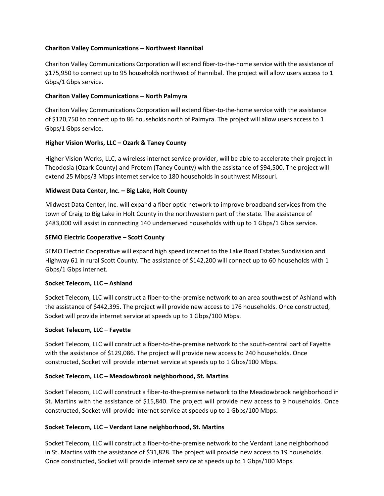## **Chariton Valley Communications – Northwest Hannibal**

Chariton Valley Communications Corporation will extend fiber-to-the-home service with the assistance of \$175,950 to connect up to 95 households northwest of Hannibal. The project will allow users access to 1 Gbps/1 Gbps service.

#### **Chariton Valley Communications – North Palmyra**

Chariton Valley Communications Corporation will extend fiber-to-the-home service with the assistance of \$120,750 to connect up to 86 households north of Palmyra. The project will allow users access to 1 Gbps/1 Gbps service.

#### **Higher Vision Works, LLC – Ozark & Taney County**

Higher Vision Works, LLC, a wireless internet service provider, will be able to accelerate their project in Theodosia (Ozark County) and Protem (Taney County) with the assistance of \$94,500. The project will extend 25 Mbps/3 Mbps internet service to 180 households in southwest Missouri.

#### **Midwest Data Center, Inc. – Big Lake, Holt County**

Midwest Data Center, Inc. will expand a fiber optic network to improve broadband services from the town of Craig to Big Lake in Holt County in the northwestern part of the state. The assistance of \$483,000 will assist in connecting 140 underserved households with up to 1 Gbps/1 Gbps service.

#### **SEMO Electric Cooperative – Scott County**

SEMO Electric Cooperative will expand high speed internet to the Lake Road Estates Subdivision and Highway 61 in rural Scott County. The assistance of \$142,200 will connect up to 60 households with 1 Gbps/1 Gbps internet.

#### **Socket Telecom, LLC – Ashland**

Socket Telecom, LLC will construct a fiber-to-the-premise network to an area southwest of Ashland with the assistance of \$442,395. The project will provide new access to 176 households. Once constructed, Socket will provide internet service at speeds up to 1 Gbps/100 Mbps.

#### **Socket Telecom, LLC – Fayette**

Socket Telecom, LLC will construct a fiber-to-the-premise network to the south-central part of Fayette with the assistance of \$129,086. The project will provide new access to 240 households. Once constructed, Socket will provide internet service at speeds up to 1 Gbps/100 Mbps.

#### **Socket Telecom, LLC – Meadowbrook neighborhood, St. Martins**

Socket Telecom, LLC will construct a fiber-to-the-premise network to the Meadowbrook neighborhood in St. Martins with the assistance of \$15,840. The project will provide new access to 9 households. Once constructed, Socket will provide internet service at speeds up to 1 Gbps/100 Mbps.

#### **Socket Telecom, LLC – Verdant Lane neighborhood, St. Martins**

Socket Telecom, LLC will construct a fiber-to-the-premise network to the Verdant Lane neighborhood in St. Martins with the assistance of \$31,828. The project will provide new access to 19 households. Once constructed, Socket will provide internet service at speeds up to 1 Gbps/100 Mbps.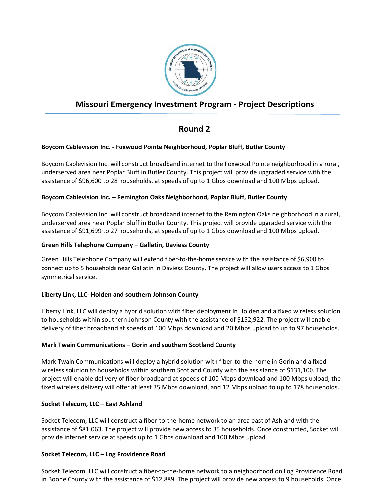

# **Missouri Emergency Investment Program - Project Descriptions**

# **Round 2**

## **Boycom Cablevision Inc. - Foxwood Pointe Neighborhood, Poplar Bluff, Butler County**

Boycom Cablevision Inc. will construct broadband internet to the Foxwood Pointe neighborhood in a rural, underserved area near Poplar Bluff in Butler County. This project will provide upgraded service with the assistance of \$96,600 to 28 households, at speeds of up to 1 Gbps download and 100 Mbps upload.

#### **Boycom Cablevision Inc. – Remington Oaks Neighborhood, Poplar Bluff, Butler County**

Boycom Cablevision Inc. will construct broadband internet to the Remington Oaks neighborhood in a rural, underserved area near Poplar Bluff in Butler County. This project will provide upgraded service with the assistance of \$91,699 to 27 households, at speeds of up to 1 Gbps download and 100 Mbps upload.

#### **Green Hills Telephone Company – Gallatin, Daviess County**

Green Hills Telephone Company will extend fiber-to-the-home service with the assistance of \$6,900 to connect up to 5 households near Gallatin in Daviess County. The project will allow users access to 1 Gbps symmetrical service.

# **Liberty Link, LLC- Holden and southern Johnson County**

Liberty Link, LLC will deploy a hybrid solution with fiber deployment in Holden and a fixed wireless solution to households within southern Johnson County with the assistance of \$152,922. The project will enable delivery of fiber broadband at speeds of 100 Mbps download and 20 Mbps upload to up to 97 households.

#### **Mark Twain Communications – Gorin and southern Scotland County**

Mark Twain Communications will deploy a hybrid solution with fiber-to-the-home in Gorin and a fixed wireless solution to households within southern Scotland County with the assistance of \$131,100. The project will enable delivery of fiber broadband at speeds of 100 Mbps download and 100 Mbps upload, the fixed wireless delivery will offer at least 35 Mbps download, and 12 Mbps upload to up to 178 households.

#### **Socket Telecom, LLC – East Ashland**

Socket Telecom, LLC will construct a fiber-to-the-home network to an area east of Ashland with the assistance of \$81,063. The project will provide new access to 35 households. Once constructed, Socket will provide internet service at speeds up to 1 Gbps download and 100 Mbps upload.

#### **Socket Telecom, LLC – Log Providence Road**

Socket Telecom, LLC will construct a fiber-to-the-home network to a neighborhood on Log Providence Road in Boone County with the assistance of \$12,889. The project will provide new access to 9 households. Once